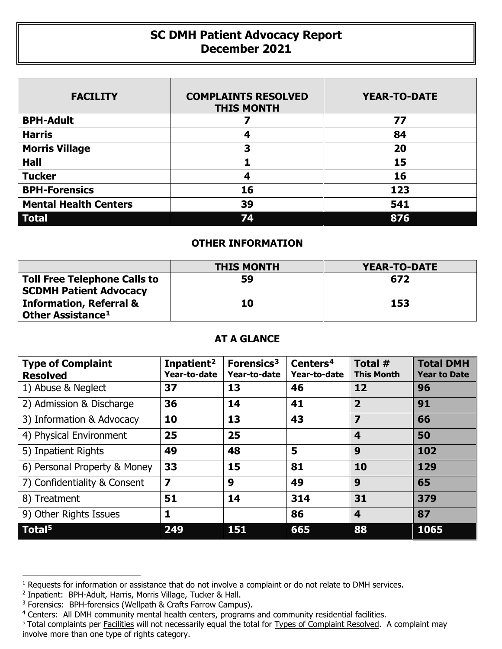## **SC DMH Patient Advocacy Report December 2021**

| <b>FACILITY</b>              | <b>COMPLAINTS RESOLVED</b><br><b>THIS MONTH</b> | <b>YEAR-TO-DATE</b> |
|------------------------------|-------------------------------------------------|---------------------|
| <b>BPH-Adult</b>             |                                                 | 77                  |
| <b>Harris</b>                | 4                                               | 84                  |
| <b>Morris Village</b>        | 3                                               | 20                  |
| <b>Hall</b>                  |                                                 | 15                  |
| <b>Tucker</b>                | 4                                               | 16                  |
| <b>BPH-Forensics</b>         | 16                                              | 123                 |
| <b>Mental Health Centers</b> | 39                                              | 541                 |
| <b>Total</b>                 | 74                                              | 876                 |

## **OTHER INFORMATION**

|                                                                      | <b>THIS MONTH</b> | <b>YEAR-TO-DATE</b> |
|----------------------------------------------------------------------|-------------------|---------------------|
| <b>Toll Free Telephone Calls to</b><br><b>SCDMH Patient Advocacy</b> | 59                | 672                 |
| <b>Information, Referral &amp;</b>                                   | 10                | 153                 |
| Other Assistance <sup>1</sup>                                        |                   |                     |

## **AT A GLANCE**

| <b>Type of Complaint</b><br><b>Resolved</b> | Inpatient <sup>2</sup><br>Year-to-date | Forensics <sup>3</sup><br>Year-to-date | Centers <sup>4</sup><br>Year-to-date | Total #<br><b>This Month</b> | <b>Total DMH</b><br><b>Year to Date</b> |
|---------------------------------------------|----------------------------------------|----------------------------------------|--------------------------------------|------------------------------|-----------------------------------------|
| 1) Abuse & Neglect                          | 37                                     | 13                                     | 46                                   | 12                           | 96                                      |
| 2) Admission & Discharge                    | 36                                     | 14                                     | 41                                   | $\overline{2}$               | 91                                      |
| 3) Information & Advocacy                   | 10                                     | 13                                     | 43                                   | $\overline{\mathbf{z}}$      | 66                                      |
| 4) Physical Environment                     | 25                                     | 25                                     |                                      | $\boldsymbol{4}$             | 50                                      |
| 5) Inpatient Rights                         | 49                                     | 48                                     | 5                                    | 9                            | 102                                     |
| 6) Personal Property & Money                | 33                                     | 15                                     | 81                                   | 10                           | 129                                     |
| 7) Confidentiality & Consent                | $\overline{\mathbf{z}}$                | 9                                      | 49                                   | 9                            | 65                                      |
| 8) Treatment                                | 51                                     | 14                                     | 314                                  | 31                           | 379                                     |
| 9) Other Rights Issues                      | $\mathbf{1}$                           |                                        | 86                                   | $\overline{\mathbf{4}}$      | 87                                      |
| Total <sup>5</sup>                          | 249                                    | 151                                    | 665                                  | 88                           | 1065                                    |

 $\overline{a}$ 

<span id="page-0-0"></span> $1$  Requests for information or assistance that do not involve a complaint or do not relate to DMH services.

<span id="page-0-1"></span><sup>2</sup> Inpatient: BPH-Adult, Harris, Morris Village, Tucker & Hall.

<span id="page-0-2"></span><sup>&</sup>lt;sup>3</sup> Forensics: BPH-forensics (Wellpath & Crafts Farrow Campus).

<span id="page-0-3"></span><sup>4</sup> Centers: All DMH community mental health centers, programs and community residential facilities.

<span id="page-0-4"></span><sup>&</sup>lt;sup>5</sup> Total complaints per Facilities will not necessarily equal the total for Types of Complaint Resolved. A complaint may involve more than one type of rights category.